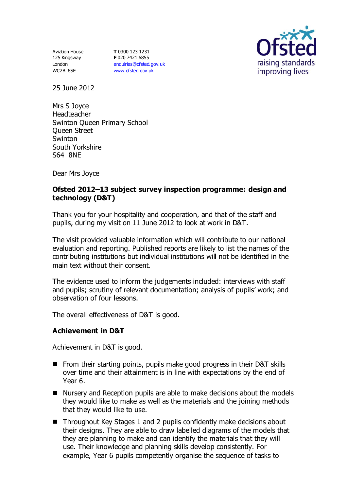Aviation House 125 Kingsway London WC2B 6SE

**T** 0300 123 1231 **F** 020 7421 6855 [enquiries@ofsted.gov.uk](mailto:enquiries@ofsted.gov.uk) [www.ofsted.gov.uk](http://www.ofsted.gov.uk/)



25 June 2012

Mrs S Joyce Headteacher Swinton Queen Primary School Queen Street **Swinton** South Yorkshire S64 8NE

Dear Mrs Joyce

## **Ofsted 2012–13 subject survey inspection programme: design and technology (D&T)**

Thank you for your hospitality and cooperation, and that of the staff and pupils, during my visit on 11 June 2012 to look at work in D&T.

The visit provided valuable information which will contribute to our national evaluation and reporting. Published reports are likely to list the names of the contributing institutions but individual institutions will not be identified in the main text without their consent.

The evidence used to inform the judgements included: interviews with staff and pupils; scrutiny of relevant documentation; analysis of pupils' work; and observation of four lessons.

The overall effectiveness of D&T is good.

## **Achievement in D&T**

Achievement in D&T is good.

- From their starting points, pupils make good progress in their D&T skills over time and their attainment is in line with expectations by the end of Year 6.
- Nursery and Reception pupils are able to make decisions about the models they would like to make as well as the materials and the joining methods that they would like to use.
- Throughout Key Stages 1 and 2 pupils confidently make decisions about their designs. They are able to draw labelled diagrams of the models that they are planning to make and can identify the materials that they will use. Their knowledge and planning skills develop consistently. For example, Year 6 pupils competently organise the sequence of tasks to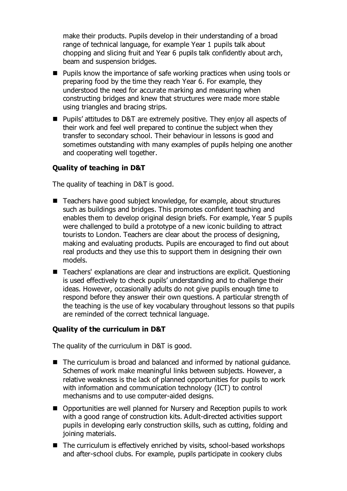make their products. Pupils develop in their understanding of a broad range of technical language, for example Year 1 pupils talk about chopping and slicing fruit and Year 6 pupils talk confidently about arch, beam and suspension bridges.

- Pupils know the importance of safe working practices when using tools or preparing food by the time they reach Year 6. For example, they understood the need for accurate marking and measuring when constructing bridges and knew that structures were made more stable using triangles and bracing strips.
- Pupils' attitudes to D&T are extremely positive. They enjoy all aspects of their work and feel well prepared to continue the subject when they transfer to secondary school. Their behaviour in lessons is good and sometimes outstanding with many examples of pupils helping one another and cooperating well together.

#### **Quality of teaching in D&T**

The quality of teaching in D&T is good.

- Teachers have good subject knowledge, for example, about structures such as buildings and bridges. This promotes confident teaching and enables them to develop original design briefs. For example, Year 5 pupils were challenged to build a prototype of a new iconic building to attract tourists to London. Teachers are clear about the process of designing, making and evaluating products. Pupils are encouraged to find out about real products and they use this to support them in designing their own models.
- Teachers' explanations are clear and instructions are explicit. Questioning is used effectively to check pupils' understanding and to challenge their ideas. However, occasionally adults do not give pupils enough time to respond before they answer their own questions. A particular strength of the teaching is the use of key vocabulary throughout lessons so that pupils are reminded of the correct technical language.

#### **Quality of the curriculum in D&T**

The quality of the curriculum in D&T is good.

- The curriculum is broad and balanced and informed by national guidance. Schemes of work make meaningful links between subjects. However, a relative weakness is the lack of planned opportunities for pupils to work with information and communication technology (ICT) to control mechanisms and to use computer-aided designs.
- Opportunities are well planned for Nursery and Reception pupils to work with a good range of construction kits. Adult-directed activities support pupils in developing early construction skills, such as cutting, folding and joining materials.
- The curriculum is effectively enriched by visits, school-based workshops and after-school clubs. For example, pupils participate in cookery clubs